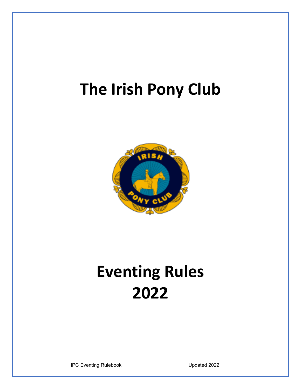# **The Irish Pony Club**



# **Eventing Rules 2022**

IPC Eventing Rulebook Updated 2022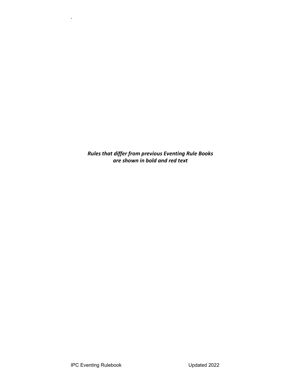*Rules that differ from previous Eventing Rule Books are shown in bold and red text*

.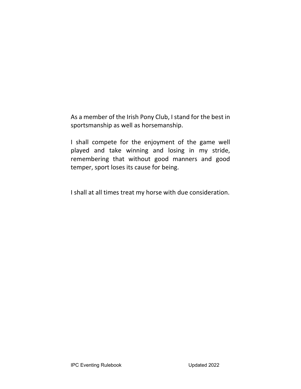As a member of the Irish Pony Club, I stand for the best in sportsmanship as well as horsemanship.

I shall compete for the enjoyment of the game well played and take winning and losing in my stride, remembering that without good manners and good temper, sport loses its cause for being.

I shall at all times treat my horse with due consideration.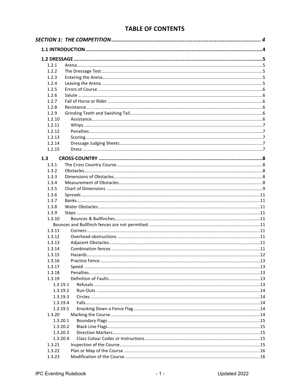# **TABLE OF CONTENTS**

| 1.2.1            |  |
|------------------|--|
| 1.2.2            |  |
| 1.2.3            |  |
| 1.2.4            |  |
| 1.2.5            |  |
| 1.2.6            |  |
| 1.2.7            |  |
| 1.2.8            |  |
| 1.2.9            |  |
| 1.2.10           |  |
| 1.2.11           |  |
| 1.2.12           |  |
| 1.2.13           |  |
| 1.2.14           |  |
| 1.2.15           |  |
| 1.3              |  |
| 1.3.1            |  |
| 1.3.2            |  |
| 1.3.3            |  |
| 1.3.4            |  |
| 1.3.5            |  |
| 1.3.6            |  |
| 1.3.7            |  |
| 1.3.8            |  |
| 1.3.9            |  |
| 1.3.10           |  |
|                  |  |
| 1.3.11           |  |
| 1.3.12           |  |
| 1.3.13           |  |
| 1.3.14           |  |
| 1.3.15<br>1.3.16 |  |
| 1.3.17           |  |
| 1.3.18           |  |
| 1.3.19           |  |
| 1.3.19.1         |  |
| 1.3.19.2         |  |
| 1.3.19.3         |  |
| 1.3.19.4         |  |
| 1.3.19.5         |  |
| 1.3.20           |  |
| 1.3.20.1         |  |
| 1.3.20.2         |  |
| 1.3.20.3         |  |
| 1.3.20.4         |  |
| 1.3.21           |  |
| 1.3.22           |  |
| 1.3.23           |  |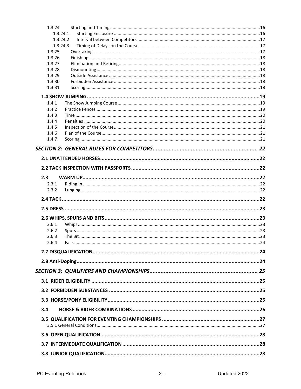| 1.3.24           |  |
|------------------|--|
|                  |  |
| 1.3.24.1         |  |
| 1.3.24.2         |  |
| 1.3.24.3         |  |
| 1.3.25<br>1.3.26 |  |
| 1.3.27           |  |
| 1.3.28           |  |
| 1.3.29           |  |
| 1.3.30           |  |
| 1.3.31           |  |
|                  |  |
| 1.4.1            |  |
| 1.4.2            |  |
| 1.4.3            |  |
| 1.4.4            |  |
| 1.4.5            |  |
| 1.4.6            |  |
| 1.4.7            |  |
|                  |  |
|                  |  |
|                  |  |
|                  |  |
| 2.3              |  |
| 2.3.1            |  |
| 2.3.2            |  |
|                  |  |
|                  |  |
|                  |  |
|                  |  |
|                  |  |
| 2.6.1            |  |
| 2.6.2            |  |
| 2.6.3            |  |
| 2.6.4            |  |
|                  |  |
|                  |  |
|                  |  |
|                  |  |
|                  |  |
|                  |  |
|                  |  |
|                  |  |
| 3.4              |  |
|                  |  |
|                  |  |
|                  |  |
|                  |  |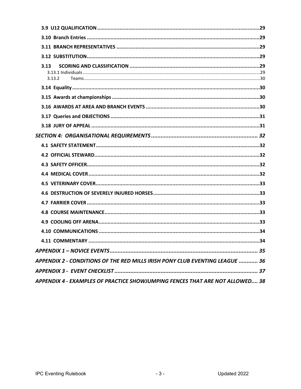<span id="page-5-0"></span>

| 3.13<br>3.13.2                                                               |
|------------------------------------------------------------------------------|
|                                                                              |
|                                                                              |
|                                                                              |
|                                                                              |
|                                                                              |
|                                                                              |
|                                                                              |
|                                                                              |
|                                                                              |
|                                                                              |
|                                                                              |
|                                                                              |
|                                                                              |
|                                                                              |
|                                                                              |
|                                                                              |
|                                                                              |
|                                                                              |
| APPENDIX 2 - CONDITIONS OF THE RED MILLS IRISH PONY CLUB EVENTING LEAGUE  36 |
|                                                                              |
| APPENDIX 4 - EXAMPLES OF PRACTICE SHOWJUMPING FENCES THAT ARE NOT ALLOWED 38 |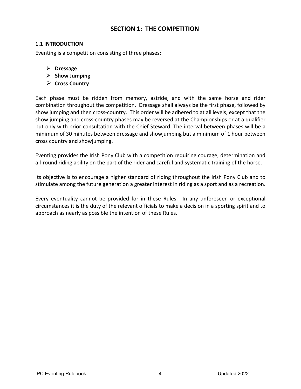# **SECTION 1: THE COMPETITION**

#### <span id="page-6-0"></span>**1.1 INTRODUCTION**

Eventing is a competition consisting of three phases:

- **Dressage**
- **Show Jumping**
- **Cross Country**

Each phase must be ridden from memory, astride, and with the same horse and rider combination throughout the competition. Dressage shall always be the first phase, followed by show jumping and then cross-country. This order will be adhered to at all levels, except that the show jumping and cross-country phases may be reversed at the Championships or at a qualifier but only with prior consultation with the Chief Steward. The interval between phases will be a minimum of 30 minutes between dressage and showjumping but a minimum of 1 hour between cross country and showjumping.

Eventing provides the Irish Pony Club with a competition requiring courage, determination and all-round riding ability on the part of the rider and careful and systematic training of the horse.

Its objective is to encourage a higher standard of riding throughout the Irish Pony Club and to stimulate among the future generation a greater interest in riding as a sport and as a recreation.

Every eventuality cannot be provided for in these Rules. In any unforeseen or exceptional circumstances it is the duty of the relevant officials to make a decision in a sporting spirit and to approach as nearly as possible the intention of these Rules.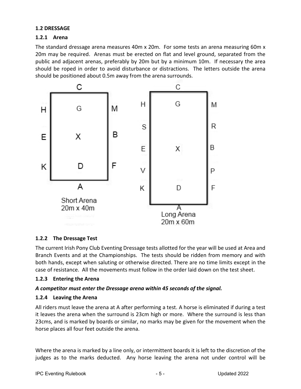#### <span id="page-7-0"></span>**1.2 DRESSAGE**

#### <span id="page-7-1"></span>**1.2.1 Arena**

The standard dressage arena measures 40m x 20m. For some tests an arena measuring 60m x 20m may be required. Arenas must be erected on flat and level ground, separated from the public and adjacent arenas, preferably by 20m but by a minimum 10m. If necessary the area should be roped in order to avoid disturbance or distractions. The letters outside the arena should be positioned about 0.5m away from the arena surrounds.



#### <span id="page-7-2"></span>**1.2.2 The Dressage Test**

The current Irish Pony Club Eventing Dressage tests allotted for the year will be used at Area and Branch Events and at the Championships. The tests should be ridden from memory and with both hands, except when saluting or otherwise directed. There are no time limits except in the case of resistance. All the movements must follow in the order laid down on the test sheet.

#### <span id="page-7-3"></span>**1.2.3 Entering the Arena**

#### *A competitor must enter the Dressage arena within 45 seconds of the signal.*

#### <span id="page-7-4"></span>**1.2.4 Leaving the Arena**

All riders must leave the arena at A after performing a test. A horse is eliminated if during a test it leaves the arena when the surround is 23cm high or more. Where the surround is less than 23cms, and is marked by boards or similar, no marks may be given for the movement when the horse places all four feet outside the arena.

Where the arena is marked by a line only, or intermittent boards it is left to the discretion of the judges as to the marks deducted. Any horse leaving the arena not under control will be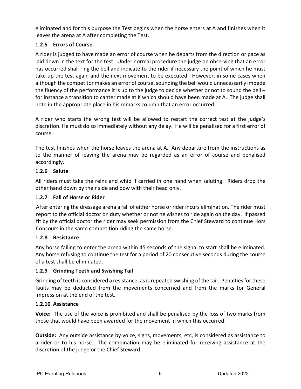eliminated and for this purpose the Test begins when the horse enters at A and finishes when it leaves the arena at A after completing the Test.

# <span id="page-8-0"></span>**1.2.5 Errors of Course**

A rider is judged to have made an error of course when he departs from the direction or pace as laid down in the text for the test. Under normal procedure the judge on observing that an error has occurred shall ring the bell and indicate to the rider if necessary the point of which he must take up the test again and the next movement to be executed. However, in some cases when although the competitor makes an error of course, sounding the bell would unnecessarily impede the fluency of the performance it is up to the judge to decide whether or not to sound the bell – for instance a transition to canter made at K which should have been made at A. The judge shall note in the appropriate place in his remarks column that an error occurred.

A rider who starts the wrong test will be allowed to restart the correct test at the judge's discretion. He must do so immediately without any delay. He will be penalised for a first error of course.

The test finishes when the horse leaves the arena at A. Any departure from the instructions as to the manner of leaving the arena may be regarded as an error of course and penalised accordingly.

# <span id="page-8-1"></span>**1.2.6 Salute**

All riders must take the reins and whip if carried in one hand when saluting. Riders drop the other hand down by their side and bow with their head only.

# <span id="page-8-2"></span>**1.2.7 Fall of Horse or Rider**

After entering the dressage arena a fall of either horse or rider incurs elimination. The rider must report to the official doctor on duty whether or not he wishes to ride again on the day. If passed fit by the official doctor the rider may seek permission from the Chief Steward to continue Hors Concours in the same competition riding the same horse.

# <span id="page-8-3"></span>**1.2.8 Resistance**

Any horse failing to enter the arena within 45 seconds of the signal to start shall be eliminated. Any horse refusing to continue the test for a period of 20 consecutive seconds during the course of a test shall be eliminated.

# <span id="page-8-4"></span>**1.2.9 Grinding Teeth and Swishing Tail**

Grinding of teeth is considered a resistance, as is repeated swishing of the tail. Penalties for these faults may be deducted from the movements concerned and from the marks for General Impression at the end of the test.

#### <span id="page-8-5"></span>**1.2.10 Assistance**

**Voice:** The use of the voice is prohibited and shall be penalised by the loss of two marks from those that would have been awarded for the movement in which this occurred.

**Outside:** Any outside assistance by voice, signs, movements, etc, is considered as assistance to a rider or to his horse. The combination may be eliminated for receiving assistance at the discretion of the judge or the Chief Steward.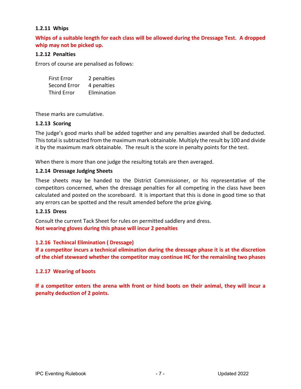#### <span id="page-9-0"></span>**1.2.11 Whips**

**Whips of a suitable length for each class will be allowed during the Dressage Test. A dropped whip may not be picked up.**

#### <span id="page-9-1"></span>**1.2.12 Penalties**

Errors of course are penalised as follows:

| <b>First Error</b> | 2 penalties |
|--------------------|-------------|
| Second Error       | 4 penalties |
| <b>Third Error</b> | Elimination |

These marks are cumulative.

#### <span id="page-9-2"></span>**1.2.13 Scoring**

The judge's good marks shall be added together and any penalties awarded shall be deducted. This total is subtracted from the maximum mark obtainable. Multiply the result by 100 and divide it by the maximum mark obtainable. The result is the score in penalty points for the test.

When there is more than one judge the resulting totals are then averaged.

#### <span id="page-9-3"></span>**1.2.14 Dressage Judging Sheets**

These sheets may be handed to the District Commissioner, or his representative of the competitors concerned, when the dressage penalties for all competing in the class have been calculated and posted on the scoreboard. It is important that this is done in good time so that any errors can be spotted and the result amended before the prize giving.

#### <span id="page-9-4"></span>**1.2.15 Dress**

Consult the current Tack Sheet for rules on permitted saddlery and dress. **Not wearing gloves during this phase will incur 2 penalties**

#### **1.2.16 Techincal Elimination ( Dressage)**

**If a competitor incurs a technical elimination during the dressage phase it is at the discretion of the chief steweard whether the competitor may continue HC for the remainiing two phases**

#### **1.2.17 Wearing of boots**

**If a competitor enters the arena with front or hind boots on their animal, they will incur a penalty deduction of 2 points.**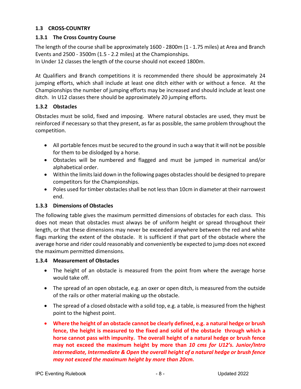# <span id="page-10-0"></span>**1.3 CROSS-COUNTRY**

#### <span id="page-10-1"></span>**1.3.1 The Cross Country Course**

The length of the course shall be approximately 1600 - 2800m (1 - 1.75 miles) at Area and Branch Events and 2500 - 3500m (1.5 - 2.2 miles) at the Championships.

In Under 12 classes the length of the course should not exceed 1800m.

At Qualifiers and Branch competitions it is recommended there should be approximately 24 jumping efforts, which shall include at least one ditch either with or without a fence. At the Championships the number of jumping efforts may be increased and should include at least one ditch. In U12 classes there should be approximately 20 jumping efforts.

#### <span id="page-10-2"></span>**1.3.2 Obstacles**

Obstacles must be solid, fixed and imposing. Where natural obstacles are used, they must be reinforced if necessary so that they present, as far as possible, the same problem throughout the competition.

- All portable fences must be secured to the ground in such a way that it will not be possible for them to be dislodged by a horse.
- Obstacles will be numbered and flagged and must be jumped in numerical and/or alphabetical order.
- Within the limits laid down in the following pages obstacles should be designed to prepare competitors for the Championships.
- Poles used for timber obstacles shall be not less than 10cm in diameter at their narrowest end.

#### <span id="page-10-3"></span>**1.3.3 Dimensions of Obstacles**

The following table gives the maximum permitted dimensions of obstacles for each class. This does not mean that obstacles must always be of uniform height or spread throughout their length, or that these dimensions may never be exceeded anywhere between the red and white flags marking the extent of the obstacle. It is sufficient if that part of the obstacle where the average horse and rider could reasonably and conveniently be expected to jump does not exceed the maximum permitted dimensions.

#### <span id="page-10-4"></span>**1.3.4 Measurement of Obstacles**

- The height of an obstacle is measured from the point from where the average horse would take off.
- The spread of an open obstacle, e.g. an oxer or open ditch, is measured from the outside of the rails or other material making up the obstacle.
- The spread of a closed obstacle with a solid top, e.g. a table, is measured from the highest point to the highest point.
- **Where the height of an obstacle cannot be clearly defined, e.g. a natural hedge or brush fence, the height is measured to the fixed and solid of the obstacle through which a horse cannot pass with impunity. The overall height of a natural hedge or brush fence may not exceed the maximum height by more than** *10 cms for U12's. Junior/Intro Intermediate, Intermediate & Open the overall height of a natural hedge or brush fence may not exceed the maximum height by more than 20cm.*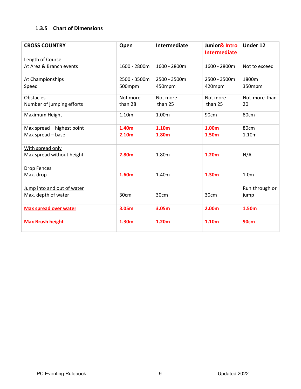# <span id="page-11-0"></span>**1.3.5 Chart of Dimensions**

| <b>CROSS COUNTRY</b>         | Open         | <b>Intermediate</b> | Junior& Intro<br><b>Intermediate</b> | Under 12         |
|------------------------------|--------------|---------------------|--------------------------------------|------------------|
| Length of Course             |              |                     |                                      |                  |
| At Area & Branch events      | 1600 - 2800m | 1600 - 2800m        | 1600 - 2800m                         | Not to exceed    |
| At Championships             | 2500 - 3500m | 2500 - 3500m        | 2500 - 3500m                         | 1800m            |
| Speed                        | 500mpm       | 450mpm              | 420mpm                               | 350mpm           |
| Obstacles                    | Not more     | Not more            | Not more                             | Not more than    |
| Number of jumping efforts    | than 28      | than 25             | than 25                              | 20               |
| Maximum Height               | 1.10m        | 1.00m               | 90cm                                 | 80cm             |
| Max spread - highest point   | 1.40m        | 1.10 <sub>m</sub>   | 1.00m                                | 80cm             |
| Max spread - base            | 2.10m        | 1.80m               | 1.50m                                | 1.10m            |
| With spread only             |              |                     |                                      |                  |
| Max spread without height    | 2.80m        | 1.80m               | 1.20 <sub>m</sub>                    | N/A              |
| <b>Drop Fences</b>           |              |                     |                                      |                  |
| Max. drop                    | 1.60m        | 1.40m               | 1.30m                                | 1.0 <sub>m</sub> |
| Jump into and out of water   |              |                     |                                      | Run through or   |
| Max. depth of water          | 30cm         | 30cm                | 30cm                                 | jump             |
| <b>Max spread over water</b> | 3.05m        | 3.05m               | 2.00m                                | 1.50m            |
| <b>Max Brush height</b>      | 1.30m        | 1.20m               | 1.10m                                | <b>90cm</b>      |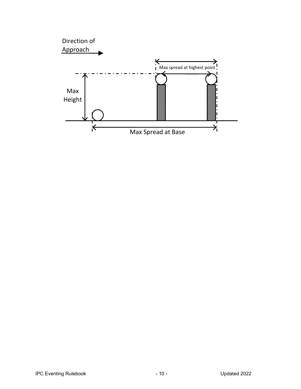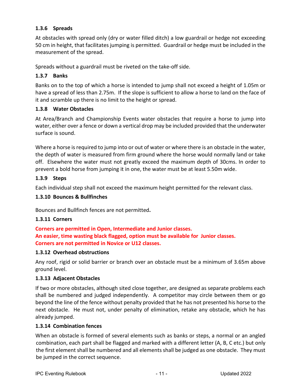### <span id="page-13-0"></span>**1.3.6 Spreads**

At obstacles with spread only (dry or water filled ditch) a low guardrail or hedge not exceeding 50 cm in height, that facilitates jumping is permitted. Guardrail or hedge must be included in the measurement of the spread.

Spreads without a guardrail must be riveted on the take-off side.

# <span id="page-13-1"></span>**1.3.7 Banks**

Banks on to the top of which a horse is intended to jump shall not exceed a height of 1.05m or have a spread of less than 2.75m. If the slope is sufficient to allow a horse to land on the face of it and scramble up there is no limit to the height or spread.

#### <span id="page-13-2"></span>**1.3.8 Water Obstacles**

At Area/Branch and Championship Events water obstacles that require a horse to jump into water, either over a fence or down a vertical drop may be included provided that the underwater surface is sound.

Where a horse is required to jump into or out of water or where there is an obstacle in the water, the depth of water is measured from firm ground where the horse would normally land or take off. Elsewhere the water must not greatly exceed the maximum depth of 30cms. In order to prevent a bold horse from jumping it in one, the water must be at least 5.50m wide.

#### <span id="page-13-3"></span>**1.3.9 Steps**

Each individual step shall not exceed the maximum height permitted for the relevant class.

#### <span id="page-13-4"></span>**1.3.10 Bounces & Bullfinches**

<span id="page-13-5"></span>Bounces and Bullfinch fences are not permitted**.**

#### <span id="page-13-6"></span>**1.3.11 Corners**

**Corners are permitted in Open, Intermediate and Junior classes. An easier, time wasting black flagged, option must be available for Junior classes. Corners are not permitted in Novice or U12 classes.**

#### <span id="page-13-7"></span>**1.3.12 Overhead obstructions**

Any roof, rigid or solid barrier or branch over an obstacle must be a minimum of 3.65m above ground level.

#### <span id="page-13-8"></span>**1.3.13 Adjacent Obstacles**

If two or more obstacles, although sited close together, are designed as separate problems each shall be numbered and judged independently. A competitor may circle between them or go beyond the line of the fence without penalty provided that he has not presented his horse to the next obstacle. He must not, under penalty of elimination, retake any obstacle, which he has already jumped.

#### <span id="page-13-9"></span>**1.3.14 Combination fences**

When an obstacle is formed of several elements such as banks or steps, a normal or an angled combination, each part shall be flagged and marked with a different letter (A, B, C etc.) but only the first element shall be numbered and all elements shall be judged as one obstacle. They must be jumped in the correct sequence.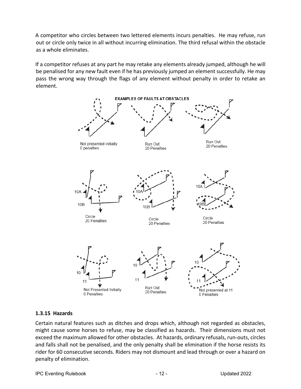A competitor who circles between two lettered elements incurs penalties. He may refuse, run out or circle only twice in all without incurring elimination. The third refusal within the obstacle as a whole eliminates.

If a competitor refuses at any part he may retake any elements already jumped, although he will be penalised for any new fault even if he has previously jumped an element successfully. He may pass the wrong way through the flags of any element without penalty in order to retake an element.



#### <span id="page-14-0"></span>**1.3.15 Hazards**

Certain natural features such as ditches and drops which, although not regarded as obstacles, might cause some horses to refuse, may be classified as hazards. Their dimensions must not exceed the maximum allowed for other obstacles. At hazards, ordinary refusals, run-outs, circles and falls shall not be penalised, and the only penalty shall be elimination if the horse resists its rider for 60 consecutive seconds. Riders may not dismount and lead through or over a hazard on penalty of elimination.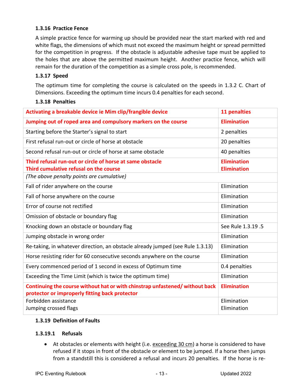#### <span id="page-15-0"></span>**1.3.16 Practice Fence**

A simple practice fence for warming up should be provided near the start marked with red and white flags, the dimensions of which must not exceed the maximum height or spread permitted for the competition in progress. If the obstacle is adjustable adhesive tape must be applied to the holes that are above the permitted maximum height. Another practice fence, which will remain for the duration of the competition as a simple cross pole, is recommended.

#### <span id="page-15-1"></span>**1.3.17 Speed**

The optimum time for completing the course is calculated on the speeds in 1.3.2 C. Chart of Dimensions. Exceeding the optimum time incurs 0.4 penalties for each second.

#### <span id="page-15-2"></span>**1.3.18 Penalties**

| Activating a breakable device ie Mim clip/frangible device                                                                    | 11 penalties                             |
|-------------------------------------------------------------------------------------------------------------------------------|------------------------------------------|
| Jumping out of roped area and compulsory markers on the course                                                                | <b>Elimination</b>                       |
| Starting before the Starter's signal to start                                                                                 | 2 penalties                              |
| First refusal run-out or circle of horse at obstacle                                                                          | 20 penalties                             |
| Second refusal run-out or circle of horse at same obstacle                                                                    | 40 penalties                             |
| Third refusal run-out or circle of horse at same obstacle<br>Third cumulative refusal on the course                           | <b>Elimination</b><br><b>Elimination</b> |
| (The above penalty points are cumulative)                                                                                     |                                          |
| Fall of rider anywhere on the course                                                                                          | Elimination                              |
| Fall of horse anywhere on the course                                                                                          | Elimination                              |
| Error of course not rectified                                                                                                 | Elimination                              |
| Omission of obstacle or boundary flag                                                                                         | Elimination                              |
| Knocking down an obstacle or boundary flag                                                                                    | See Rule 1.3.19 .5                       |
| Jumping obstacle in wrong order                                                                                               | Elimination                              |
| Re-taking, in whatever direction, an obstacle already jumped (see Rule 1.3.13)                                                | Elimination                              |
| Horse resisting rider for 60 consecutive seconds anywhere on the course                                                       | Elimination                              |
| Every commenced period of 1 second in excess of Optimum time                                                                  | 0.4 penalties                            |
| Exceeding the Time Limit (which is twice the optimum time)                                                                    | Elimination                              |
| Continuing the course without hat or with chinstrap unfastened/without back<br>protector or improperly fitting back protector | <b>Elimination</b>                       |
| Forbidden assistance                                                                                                          | Elimination                              |
| Jumping crossed flags                                                                                                         | Elimination                              |

#### <span id="page-15-3"></span>**1.3.19 Definition of Faults**

#### <span id="page-15-4"></span>**1.3.19.1 Refusals**

• At obstacles or elements with height (i.e. exceeding 30 cm) a horse is considered to have refused if it stops in front of the obstacle or element to be jumped. If a horse then jumps from a standstill this is considered a refusal and incurs 20 penalties. If the horse is re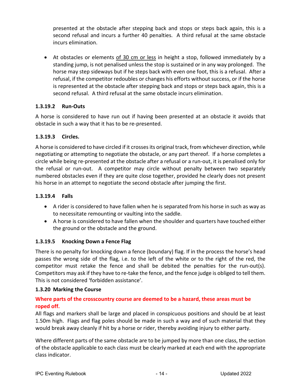presented at the obstacle after stepping back and stops or steps back again, this is a second refusal and incurs a further 40 penalties. A third refusal at the same obstacle incurs elimination.

• At obstacles or elements of 30 cm or less in height a stop, followed immediately by a standing jump, is not penalised unless the stop is sustained or in any way prolonged. The horse may step sideways but if he steps back with even one foot, this is a refusal. After a refusal, if the competitor redoubles or changes his efforts without success, or if the horse is represented at the obstacle after stepping back and stops or steps back again, this is a second refusal. A third refusal at the same obstacle incurs elimination.

# <span id="page-16-0"></span>**1.3.19.2 Run-Outs**

A horse is considered to have run out if having been presented at an obstacle it avoids that obstacle in such a way that it has to be re-presented.

# <span id="page-16-1"></span>**1.3.19.3 Circles.**

A horse is considered to have circled if it crosses its original track, from whichever direction, while negotiating or attempting to negotiate the obstacle, or any part thereof. If a horse completes a circle while being re-presented at the obstacle after a refusal or a run-out, it is penalised only for the refusal or run-out. A competitor may circle without penalty between two separately numbered obstacles even if they are quite close together, provided he clearly does not present his horse in an attempt to negotiate the second obstacle after jumping the first.

#### <span id="page-16-2"></span>**1.3.19.4 Falls**

- A rider is considered to have fallen when he is separated from his horse in such as way as to necessitate remounting or vaulting into the saddle.
- A horse is considered to have fallen when the shoulder and quarters have touched either the ground or the obstacle and the ground.

# <span id="page-16-3"></span>**1.3.19.5 Knocking Down a Fence Flag**

There is no penalty for knocking down a fence (boundary) flag. If in the process the horse's head passes the wrong side of the flag, i.e. to the left of the white or to the right of the red, the competitor must retake the fence and shall be debited the penalties for the run-out(s). Competitors may ask if they have to re-take the fence, and the fence judge is obliged to tell them. This is not considered 'forbidden assistance'.

#### <span id="page-16-4"></span>**1.3.20 Marking the Course**

# **Where parts of the crosscountry course are deemed to be a hazard, these areas must be roped off.**

All flags and markers shall be large and placed in conspicuous positions and should be at least 1.50m high.Flags and flag poles should be made in such a way and of such material that they would break away cleanly if hit by a horse or rider, thereby avoiding injury to either party.

Where different parts of the same obstacle are to be jumped by more than one class, the section of the obstacle applicable to each class must be clearly marked at each end with the appropriate class indicator.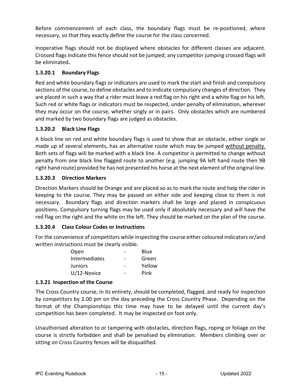Before commencement of each class, the boundary flags must be re-positioned, where necessary, so that they exactly define the course for the class concerned.

Inoperative flags should not be displayed where obstacles for different classes are adjacent. Crossed flags indicate this fence should not be jumped; any competitor jumping crossed flags will be eliminated**.**

# <span id="page-17-0"></span>**1.3.20.1 Boundary Flags**

Red and white boundary flags or indicators are used to mark the start and finish and compulsory sections of the course, to define obstacles and to indicate compulsory changes of direction. They are placed in such a way that a rider must leave a red flag on his right and a white flag on his left. Such red or white flags or indicators must be respected, under penalty of elimination, wherever they may occur on the course, whether singly or in pairs. Only obstacles which are numbered and marked by two boundary flags are judged as obstacles.

#### <span id="page-17-1"></span>**1.3.20.2 Black Line Flags**

A black line on red and white boundary flags is used to show that an obstacle, either single or made up of several elements, has an alternative route which may be jumped without penalty. Both sets of flags will be marked with a black line. A competitor is permitted to change without penalty from one black line flagged route to another (e.g. jumping 9A left hand route then 9B right hand route) provided he has not presented his horse at the next element of the original line.

# <span id="page-17-2"></span>**1.3.20.3 Direction Markers**

Direction Markers should be Orange and are placed so as to mark the route and help the rider in keeping to the course. They may be passed on either side and keeping close to them is not necessary. Boundary flags and direction markers shall be large and placed in conspicuous positions. Compulsory turning flags may be used only if absolutely necessary and will have the red flag on the right and the white on the left. They should be marked on the plan of the course.

#### <span id="page-17-3"></span>**1.3.20.4 Class Colour Codes or Instructions**

For the convenience of competitors while inspecting the course either coloured indicators or/and written instructions must be clearly visible.

| Open           | Blue   |
|----------------|--------|
| Intermediates  | Green  |
| <b>Juniors</b> | Yellow |
| $U/12$ -Novice | Pink   |

# <span id="page-17-4"></span>**1.3.21 Inspection of the Course**

The Cross Country course, in its entirety, should be completed, flagged, and ready for inspection by competitors by 2.00 pm on the day preceding the Cross Country Phase. Depending on the format of the Championships this time may have to be delayed until the current day's competition has been completed. It may be inspected on foot only.

Unauthorised alteration to or tampering with obstacles, direction flags, roping or foliage on the course is strictly forbidden and shall be penalised by elimination. Members climbing over or sitting on Cross Country fences will be disqualified.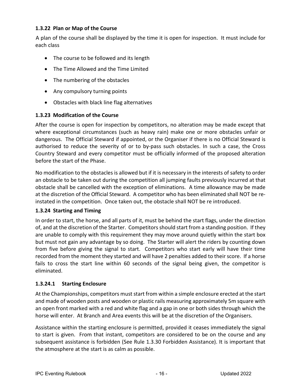#### <span id="page-18-0"></span>**1.3.22 Plan or Map of the Course**

A plan of the course shall be displayed by the time it is open for inspection. It must include for each class

- The course to be followed and its length
- The Time Allowed and the Time Limited
- The numbering of the obstacles
- Any compulsory turning points
- Obstacles with black line flag alternatives

#### <span id="page-18-1"></span>**1.3.23 Modification of the Course**

After the course is open for inspection by competitors, no alteration may be made except that where exceptional circumstances (such as heavy rain) make one or more obstacles unfair or dangerous. The Official Steward if appointed, or the Organiser if there is no Official Steward is authorised to reduce the severity of or to by-pass such obstacles. In such a case, the Cross Country Steward and every competitor must be officially informed of the proposed alteration before the start of the Phase.

No modification to the obstacles is allowed but if it is necessary in the interests of safety to order an obstacle to be taken out during the competition all jumping faults previously incurred at that obstacle shall be cancelled with the exception of eliminations. A time allowance may be made at the discretion of the Official Steward. A competitor who has been eliminated shall NOT be reinstated in the competition. Once taken out, the obstacle shall NOT be re introduced.

#### <span id="page-18-2"></span>**1.3.24 Starting and Timing**

In order to start, the horse, and all parts of it, must be behind the start flags, under the direction of, and at the discretion of the Starter. Competitors should start from a standing position. If they are unable to comply with this requirement they may move around quietly within the start box but must not gain any advantage by so doing. The Starter will alert the riders by counting down from five before giving the signal to start. Competitors who start early will have their time recorded from the moment they started and will have 2 penalties added to their score. If a horse fails to cross the start line within 60 seconds of the signal being given, the competitor is eliminated.

#### <span id="page-18-3"></span>**1.3.24.1 Starting Enclosure**

At the Championships, competitors must start from within a simple enclosure erected at the start and made of wooden posts and wooden or plastic rails measuring approximately 5m square with an open front marked with a red and white flag and a gap in one or both sides through which the horse will enter. At Branch and Area events this will be at the discretion of the Organisers.

Assistance within the starting enclosure is permitted, provided it ceases immediately the signal to start is given. From that instant, competitors are considered to be on the course and any subsequent assistance is forbidden (See Rule 1.3.30 Forbidden Assistance). It is important that the atmosphere at the start is as calm as possible.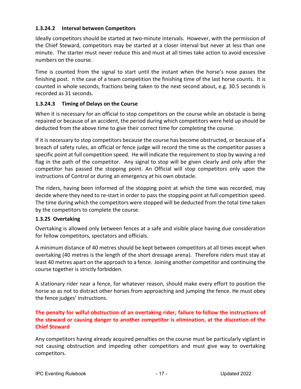#### <span id="page-19-0"></span>**1.3.24.2 Interval between Competitors**

Ideally competitors should be started at two-minute intervals. However, with the permission of the Chief Steward, competitors may be started at a closer interval but never at less than one minute. The starter must never reduce this and must at all times take action to avoid excessive numbers on the course.

Time is counted from the signal to start until the instant when the horse's nose passes the finishing post. n the case of a team competition the finishing time of the last horse counts. It is counted in whole seconds, fractions being taken to the next second about, e.g. 30.5 seconds is recorded as 31 seconds.

#### <span id="page-19-1"></span>**1.3.24.3 Timing of Delays on the Course**

When it is necessary for an official to stop competitors on the course while an obstacle is being repaired or because of an accident, the period during which competitors were held up should be deducted from the above time to give their correct time for completing the course.

If it is necessary to stop competitors because the course has become obstructed, or because of a breach of safety rules, an official or fence judge will record the time as the competitor passes a specific point at full competition speed. He will indicate the requirement to stop by waving a red flag in the path of the competitor. Any signal to stop will be given clearly and only after the competitor has passed the stopping point. An Official will stop competitors only upon the instructions of Control or during an emergency at his own obstacle.

The riders, having been informed of the stopping point at which the time was recorded, may decide where they need to re-start in order to pass the stopping point at full competition speed. The time during which the competitors were stopped will be deducted from the total time taken by the competitors to complete the course.

#### <span id="page-19-2"></span>**1.3.25 Overtaking**

Overtaking is allowed only between fences at a safe and visible place having due consideration for fellow competitors, spectators and officials.

A minimum distance of 40 metres should be kept between competitors at all times except when overtaking (40 metres is the length of the short dressage arena). Therefore riders must stay at least 40 metres apart on the approach to a fence. Joining another competitor and continuing the course together is strictly forbidden.

A stationary rider near a fence, for whatever reason, should make every effort to position the horse so as not to distract other horses from approaching and jumping the fence. He must obey the fence judges' instructions.

# **The penalty for wilful obstruction of an overtaking rider, failure to follow the instructions of the steward or causing danger to another competitor is elimination, at the discretion of the Chief Steward**

Any competitors having already acquired penalties on the course must be particularly vigilant in not causing obstruction and impeding other competitors and must give way to overtaking competitors.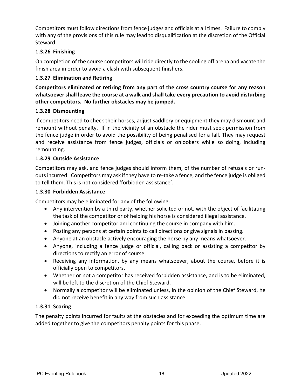Competitors must follow directions from fence judges and officials at all times. Failure to comply with any of the provisions of this rule may lead to disqualification at the discretion of the Official Steward.

# <span id="page-20-0"></span>**1.3.26 Finishing**

On completion of the course competitors will ride directly to the cooling off arena and vacate the finish area in order to avoid a clash with subsequent finishers.

#### <span id="page-20-1"></span>**1.3.27 Elimination and Retiring**

**Competitors eliminated or retiring from any part of the cross country course for any reason whatsoever shall leave the course at a walk and shall take every precaution to avoid disturbing other competitors. No further obstacles may be jumped.**

#### <span id="page-20-2"></span>**1.3.28 Dismounting**

If competitors need to check their horses, adjust saddlery or equipment they may dismount and remount without penalty. If in the vicinity of an obstacle the rider must seek permission from the fence judge in order to avoid the possibility of being penalised for a fall. They may request and receive assistance from fence judges, officials or onlookers while so doing, including remounting.

#### <span id="page-20-3"></span>**1.3.29 Outside Assistance**

Competitors may ask, and fence judges should inform them, of the number of refusals or runouts incurred. Competitors may ask if they have to re-take a fence, and the fence judge is obliged to tell them. This is not considered 'forbidden assistance'.

#### <span id="page-20-4"></span>**1.3.30 Forbidden Assistance**

Competitors may be eliminated for any of the following:

- Any intervention by a third party, whether solicited or not, with the object of facilitating the task of the competitor or of helping his horse is considered illegal assistance.
- Joining another competitor and continuing the course in company with him.
- Posting any persons at certain points to call directions or give signals in passing.
- Anyone at an obstacle actively encouraging the horse by any means whatsoever.
- Anyone, including a fence judge or official, calling back or assisting a competitor by directions to rectify an error of course.
- Receiving any information, by any means whatsoever, about the course, before it is officially open to competitors.
- Whether or not a competitor has received forbidden assistance, and is to be eliminated, will be left to the discretion of the Chief Steward.
- Normally a competitor will be eliminated unless, in the opinion of the Chief Steward, he did not receive benefit in any way from such assistance.

#### <span id="page-20-5"></span>**1.3.31 Scoring**

The penalty points incurred for faults at the obstacles and for exceeding the optimum time are added together to give the competitors penalty points for this phase.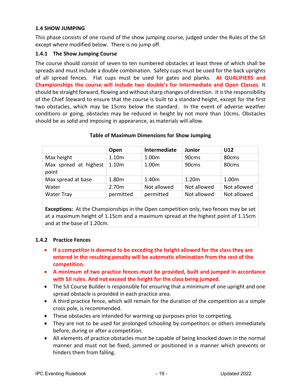#### <span id="page-21-0"></span>**1.4 SHOW JUMPING**

This phase consists of one round of the show jumping course, judged under the Rules of the SJI except where modified below. There is no jump off.

#### <span id="page-21-1"></span>**1.4.1 The Show Jumping Course**

The course should consist of seven to ten numbered obstacles at least three of which shall be spreads and must include a double combination. Safety cups must be used for the back uprights of all spread fences. Flat cups must be used for gates and planks. **At QUALIFIERS and Championships the course will include two double's for Intermediate and Open Classes**. It should be straight forward, flowing and without sharp changes of direction. It is the responsibility of the Chief Steward to ensure that the course is built to a standard height, except for the first two obstacles, which may be 15cms below the standard. In the event of adverse weather conditions or going, obstacles may be reduced in height by not more than 10cms. Obstacles should be as solid and imposing in appearance, as materials will allow.

|                                | Open              | Intermediate | Junior            | U12               |
|--------------------------------|-------------------|--------------|-------------------|-------------------|
| Max height                     | 1.10m             | 1.00m        | 90cms             | 80 <sub>cms</sub> |
| Max spread at highest<br>point | 1.10 <sub>m</sub> | 1.00m        | 90 <sub>cms</sub> | 80 <sub>cms</sub> |
| Max spread at base             | 1.80m             | 1.40m        | 1.20m             | 1.00m             |
| Water                          | 2.70 <sub>m</sub> | Not allowed  | Not allowed       | Not allowed       |
| <b>Water Tray</b>              | permitted         | permitted    | Not allowed       | Not allowed       |

#### **Table of Maximum Dimensions for Show Jumping**

**Exceptions:** At the Championships in the Open competition only, two fences may be set at a maximum height of 1.15cm and a maximum spread at the highest point of 1.15cm and at the base of 1.20cm.

#### <span id="page-21-2"></span>**1.4.2 Practice Fences**

- **If a competitor is deemed to be exceding the height allowed for the class they are entered in the resulting penalty will be automatic elimination from the rest of the competition.**
- **A minimum of two practice fences must be provided, built and jumped in accordance with SJI rules. And not exceed the height for the class being jumped.**
- The SJI Course Builder is responsible for ensuring that a minimum of one upright and one spread obstacle is provided in each practice area.
- A third practice fence, which will remain for the duration of the competition as a simple cross pole, is recommended.
- These obstacles are intended for warming up purposes prior to competing.
- They are not to be used for prolonged schooling by competitors or others immediately before, during or after a competition.
- All elements of practice obstacles must be capable of being knocked down in the normal manner and must not be fixed, jammed or positioned in a manner which prevents or hinders them from falling.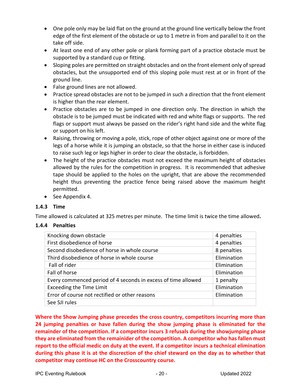- One pole only may be laid flat on the ground at the ground line vertically below the front edge of the first element of the obstacle or up to 1 metre in from and parallel to it on the take off side.
- At least one end of any other pole or plank forming part of a practice obstacle must be supported by a standard cup or fitting.
- Sloping poles are permitted on straight obstacles and on the front element only of spread obstacles, but the unsupported end of this sloping pole must rest at or in front of the ground line.
- False ground lines are not allowed.
- Practice spread obstacles are not to be jumped in such a direction that the front element is higher than the rear element.
- Practice obstacles are to be jumped in one direction only. The direction in which the obstacle is to be jumped must be indicated with red and white flags or supports. The red flags or support must always be passed on the rider's right hand side and the white flag or support on his left.
- Raising, throwing or moving a pole, stick, rope of other object against one or more of the legs of a horse while it is jumping an obstacle, so that the horse in either case is induced to raise such leg or legs higher in order to clear the obstacle, is forbidden.
- The height of the practice obstacles must not exceed the maximum height of obstacles allowed by the rules for the competition in progress. It is recommended that adhesive tape should be applied to the holes on the upright, that are above the recommended height thus preventing the practice fence being raised above the maximum height permitted.
- See Appendix 4.

#### <span id="page-22-0"></span>**1.4.3 Time**

Time allowed is calculated at 325 metres per minute. The time limit is twice the time allowed**.**

#### <span id="page-22-1"></span>**1.4.4 Penalties**

| Knocking down obstacle                                        | 4 penalties |
|---------------------------------------------------------------|-------------|
| First disobedience of horse                                   | 4 penalties |
| Second disobedience of horse in whole course                  | 8 penalties |
| Third disobedience of horse in whole course                   | Elimination |
| Fall of rider                                                 | Elimination |
| Fall of horse                                                 | Elimination |
| Every commenced period of 4 seconds in excess of time allowed | 1 penalty   |
| <b>Exceeding the Time Limit</b>                               | Elimination |
| Error of course not rectified or other reasons                | Elimination |
| See SJI rules                                                 |             |

**Where the Show Jumping phase precedes the cross country, competitors incurring more than 24 jumping penalties or have fallen during the show jumping phase is eliminated for the remainder of the competition. If a competitor incurs 3 refusals during the showjumping phase they are eliminated from the remainider of the competition. A competitor who has fallen must report to the official medic on duty at the event. If a competitor incurs a technical elimination duriing this phase it is at the discrection of the chief steward on the day as to whether that competitor may continue HC on the Crosscountry course.**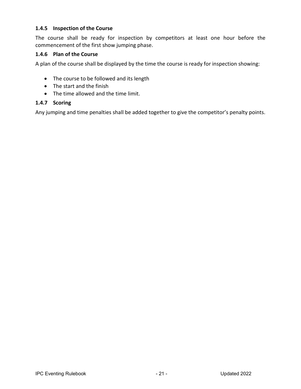#### <span id="page-23-0"></span>**1.4.5 Inspection of the Course**

The course shall be ready for inspection by competitors at least one hour before the commencement of the first show jumping phase.

#### <span id="page-23-1"></span>**1.4.6 Plan of the Course**

A plan of the course shall be displayed by the time the course is ready for inspection showing:

- The course to be followed and its length
- The start and the finish
- The time allowed and the time limit.

#### <span id="page-23-2"></span>**1.4.7 Scoring**

Any jumping and time penalties shall be added together to give the competitor's penalty points.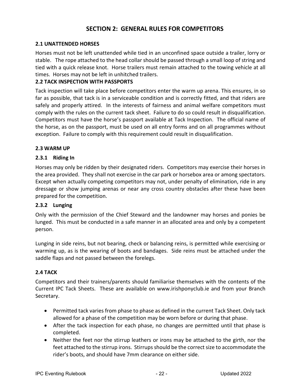# **SECTION 2: GENERAL RULES FOR COMPETITORS**

#### <span id="page-24-1"></span><span id="page-24-0"></span>**2.1 UNATTENDED HORSES**

Horses must not be left unattended while tied in an unconfined space outside a trailer, lorry or stable. The rope attached to the head collar should be passed through a small loop of string and tied with a quick release knot. Horse trailers must remain attached to the towing vehicle at all times. Horses may not be left in unhitched trailers.

#### <span id="page-24-2"></span>**2.2 TACK INSPECTION WITH PASSPORTS**

Tack inspection will take place before competitors enter the warm up arena. This ensures, in so far as possible, that tack is in a serviceable condition and is correctly fitted, and that riders are safely and properly attired. In the interests of fairness and animal welfare competitors must comply with the rules on the current tack sheet. Failure to do so could result in disqualification. Competitors must have the horse's passport available at Tack Inspection. The official name of the horse, as on the passport, must be used on all entry forms and on all programmes without exception. Failure to comply with this requirement could result in disqualification.

#### <span id="page-24-3"></span>**2.3 WARM UP**

#### <span id="page-24-4"></span>**2.3.1 Riding In**

Horses may only be ridden by their designated riders. Competitors may exercise their horses in the area provided. They shall not exercise in the car park or horsebox area or among spectators. Except when actually competing competitors may not, under penalty of elimination, ride in any dressage or show jumping arenas or near any cross country obstacles after these have been prepared for the competition.

#### <span id="page-24-5"></span>**2.3.2 Lunging**

Only with the permission of the Chief Steward and the landowner may horses and ponies be lunged. This must be conducted in a safe manner in an allocated area and only by a competent person.

Lunging in side reins, but not bearing, check or balancing reins, is permitted while exercising or warming up, as is the wearing of boots and bandages. Side reins must be attached under the saddle flaps and not passed between the forelegs.

#### <span id="page-24-6"></span>**2.4 TACK**

Competitors and their trainers/parents should familiarise themselves with the contents of the Current IPC Tack Sheets. These are available on www.irishponyclub.ie and from your Branch Secretary.

- Permitted tack varies from phase to phase as defined in the current Tack Sheet. Only tack allowed for a phase of the competition may be worn before or during that phase.
- After the tack inspection for each phase, no changes are permitted until that phase is completed.
- Neither the feet nor the stirrup leathers or irons may be attached to the girth, nor the feet attached to the stirrup irons. Stirrups should be the correct size to accommodate the rider's boots, and should have 7mm clearance on either side.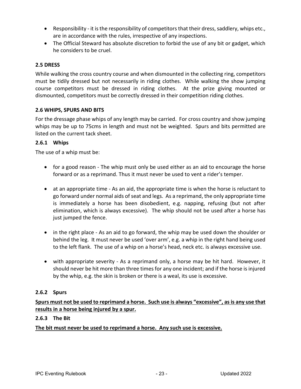- Responsibility it is the responsibility of competitors that their dress, saddlery, whips etc., are in accordance with the rules, irrespective of any inspections.
- The Official Steward has absolute discretion to forbid the use of any bit or gadget, which he considers to be cruel.

#### <span id="page-25-0"></span>**2.5 DRESS**

While walking the cross country course and when dismounted in the collecting ring, competitors must be tidily dressed but not necessarily in riding clothes.While walking the show jumping course competitors must be dressed in riding clothes. At the prize giving mounted or dismounted, competitors must be correctly dressed in their competition riding clothes.

#### <span id="page-25-1"></span>**2.6 WHIPS, SPURS AND BITS**

For the dressage phase whips of any length may be carried. For cross country and show jumping whips may be up to 75cms in length and must not be weighted. Spurs and bits permitted are listed on the current tack sheet.

#### <span id="page-25-2"></span>**2.6.1 Whips**

The use of a whip must be:

- for a good reason The whip must only be used either as an aid to encourage the horse forward or as a reprimand. Thus it must never be used to vent a rider's temper.
- at an appropriate time As an aid, the appropriate time is when the horse is reluctant to go forward under normal aids of seat and legs. As a reprimand, the only appropriate time is immediately a horse has been disobedient, e.g. napping, refusing (but not after elimination, which is always excessive). The whip should not be used after a horse has just jumped the fence.
- in the right place As an aid to go forward, the whip may be used down the shoulder or behind the leg. It must never be used 'over arm', e.g. a whip in the right hand being used to the left flank. The use of a whip on a horse's head, neck etc. is always excessive use.
- with appropriate severity As a reprimand only, a horse may be hit hard. However, it should never be hit more than three times for any one incident; and if the horse is injured by the whip, e.g. the skin is broken or there is a weal, its use is excessive.

#### <span id="page-25-3"></span>**2.6.2 Spurs**

**Spurs must not be used to reprimand a horse. Such use is always "excessive", as is any use that results in a horse being injured by a spur.**

#### <span id="page-25-4"></span>**2.6.3 The Bit**

#### **The bit must never be used to reprimand a horse. Any such use is excessive.**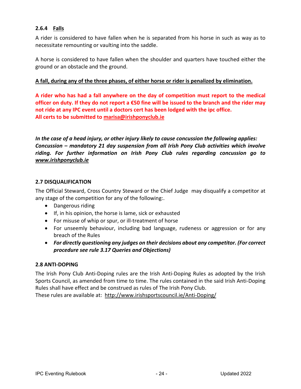# <span id="page-26-0"></span>**2.6.4 Falls**

A rider is considered to have fallen when he is separated from his horse in such as way as to necessitate remounting or vaulting into the saddle.

A horse is considered to have fallen when the shoulder and quarters have touched either the ground or an obstacle and the ground.

#### **A fall, during any of the three phases, of either horse or rider is penalized by elimination.**

**A rider who has had a fall anywhere on the day of competition must report to the medical officer on duty. If they do not report a €50 fine will be issued to the branch and the rider may not ride at any IPC event until a doctors cert has been lodged with the ipc office. All certs to be submitted to [marisa@irishponyclub.ie](mailto:marisa@irishponyclub.ie)**

*In the case of a head injury, or other injury likely to cause concussion the following applies: Concussion – mandatory 21 day suspension from all Irish Pony Club activities which involve riding. For further information on Irish Pony Club rules regarding concussion go to [www.irishponyclub.ie](http://www.irishponyclub.ie/)*

#### <span id="page-26-1"></span>**2.7 DISQUALIFICATION**

The Official Steward, Cross Country Steward or the Chief Judge may disqualify a competitor at any stage of the competition for any of the following:.

- Dangerous riding
- If, in his opinion, the horse is lame, sick or exhausted
- For misuse of whip or spur, or ill-treatment of horse
- For unseemly behaviour, including bad language, rudeness or aggression or for any breach of the Rules
- *For directly questioning any judges on their decisions about any competitor. (For correct procedure see rule 3.17 Queries and Objections)*

#### <span id="page-26-2"></span>**2.8 ANTI-DOPING**

The Irish Pony Club Anti-Doping rules are the Irish Anti-Doping Rules as adopted by the Irish Sports Council, as amended from time to time. The rules contained in the said Irish Anti-Doping Rules shall have effect and be construed as rules of The Irish Pony Club.

These rules are available at: <http://www.irishsportscouncil.ie/Anti-Doping/>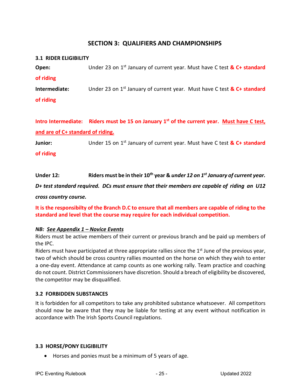# **SECTION 3: QUALIFIERS AND CHAMPIONSHIPS**

# <span id="page-27-1"></span><span id="page-27-0"></span>**3.1 RIDER ELIGIBILITY Open:** Under 23 on 1<sup>st</sup> January of current year. Must have C test **& C+ standard of riding Intermediate:** Under 23 on 1<sup>st</sup> January of current year. Must have C test & C+ standard **of riding**

**Intro Intermediate: Riders must be 15 on January 1st of the current year. Must have C test, and are of C+ standard of riding.**

**Junior:** Under 15 on 1<sup>st</sup> January of current year. Must have C test & C+ standard

**of riding**

#### Under 12: Riders must be in their 10<sup>th</sup> year & *under 12 on 1<sup>st</sup> January of current year.*

*D+ test standard required. DCs must ensure that their members are capable of riding an U12* 

*cross country course.*

#### **It is the responsibilty of the Branch D.C to ensure that all members are capable of riding to the standard and level that the course may require for each individual competition.**

#### *NB: See Appendix 1 – Novice Events*

Riders must be active members of their current or previous branch and be paid up members of the IPC.

Riders must have participated at three appropriate rallies since the 1<sup>st</sup> June of the previous year, two of which should be cross country rallies mounted on the horse on which they wish to enter a one-day event. Attendance at camp counts as one working rally. Team practice and coaching do not count. District Commissioners have discretion. Should a breach of eligibility be discovered, the competitor may be disqualified.

#### <span id="page-27-2"></span>**3.2 FORBIDDEN SUBSTANCES**

It is forbidden for all competitors to take any prohibited substance whatsoever. All competitors should now be aware that they may be liable for testing at any event without notification in accordance with The Irish Sports Council regulations.

#### <span id="page-27-3"></span>**3.3 HORSE/PONY ELIGIBILITY**

• Horses and ponies must be a minimum of 5 years of age.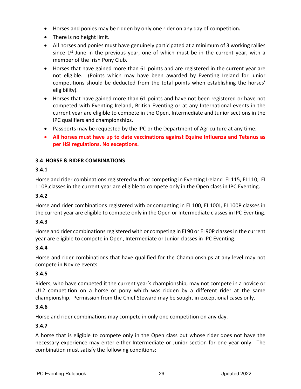- Horses and ponies may be ridden by only one rider on any day of competition**.**
- There is no height limit.
- All horses and ponies must have genuinely participated at a minimum of 3 working rallies since  $1<sup>st</sup>$  June in the previous year, one of which must be in the current year, with a member of the Irish Pony Club.
- Horses that have gained more than 61 points and are registered in the current year are not eligible. (Points which may have been awarded by Eventing Ireland for junior competitions should be deducted from the total points when establishing the horses' eligibility).
- Horses that have gained more than 61 points and have not been registered or have not competed with Eventing Ireland, British Eventing or at any International events in the current year are eligible to compete in the Open, Intermediate and Junior sections in the IPC qualifiers and championships.
- Passports may be requested by the IPC or the Department of Agriculture at any time.
- **All horses must have up to date vaccinations against Equine Influenza and Tetanus as per HSI regulations. No exceptions.**

# <span id="page-28-0"></span>**3.4 HORSE & RIDER COMBINATIONS**

#### **3.4.1**

Horse and rider combinations registered with or competing in Eventing Ireland EI 115, EI 110, EI 110P,classes in the current year are eligible to compete only in the Open class in IPC Eventing.

#### **3.4.2**

Horse and rider combinations registered with or competing in EI 100, EI 100J, EI 100P classes in the current year are eligible to compete only in the Open or Intermediate classes in IPC Eventing.

#### **3.4.3**

Horse and rider combinations registered with or competing in EI 90 or EI 90P classes in the current year are eligible to compete in Open, Intermediate or Junior classes in IPC Eventing.

#### **3.4.4**

Horse and rider combinations that have qualified for the Championships at any level may not compete in Novice events.

#### **3.4.5**

Riders, who have competed it the current year's championship, may not compete in a novice or U12 competition on a horse or pony which was ridden by a different rider at the same championship. Permission from the Chief Steward may be sought in exceptional cases only.

#### **3.4.6**

Horse and rider combinations may compete in only one competition on any day.

#### **3.4.7**

A horse that is eligible to compete only in the Open class but whose rider does not have the necessary experience may enter either Intermediate or Junior section for one year only. The combination must satisfy the following conditions: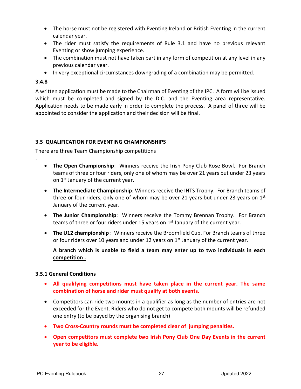- The horse must not be registered with Eventing Ireland or British Eventing in the current calendar year.
- The rider must satisfy the requirements of Rule 3.1 and have no previous relevant Eventing or show jumping experience.
- The combination must not have taken part in any form of competition at any level in any previous calendar year.
- In very exceptional circumstances downgrading of a combination may be permitted.

#### **3.4.8**

.

A written application must be made to the Chairman of Eventing of the IPC. A form will be issued which must be completed and signed by the D.C. and the Eventing area representative. Application needs to be made early in order to complete the process. A panel of three will be appointed to consider the application and their decision will be final.

#### <span id="page-29-0"></span>**3.5 QUALIFICATION FOR EVENTING CHAMPIONSHIPS**

There are three Team Championship competitions

- **The Open Championship**: Winners receive the Irish Pony Club Rose Bowl. For Branch teams of three or four riders, only one of whom may be over 21 years but under 23 years on 1<sup>st</sup> January of the current year.
- **The Intermediate Championship**: Winners receive the IHTS Trophy. For Branch teams of three or four riders, only one of whom may be over 21 years but under 23 years on  $1<sup>st</sup>$ January of the current year.
- **The Junior Championship**: Winners receive the Tommy Brennan Trophy. For Branch teams of three or four riders under 15 years on  $1<sup>st</sup>$  January of the current year.
- **The U12 championship** : Winners receive the Broomfield Cup. For Branch teams of three or four riders over 10 years and under 12 years on  $1<sup>st</sup>$  January of the current year.

#### **A branch which is unable to field a team may enter up to two individuals in each competition .**

#### <span id="page-29-1"></span>**3.5.1 General Conditions**

- **All qualifying competitions must have taken place in the current year. The same combination of horse and rider must qualify at both events.**
- Competitors can ride two mounts in a qualifier as long as the number of entries are not exceeded for the Event. Riders who do not get to compete both mounts will be refunded one entry (to be payed by the organising branch)
- **Two Cross-Country rounds must be completed clear of jumping penalties.**
- **Open competitors must complete two Irish Pony Club One Day Events in the current year to be eligible.**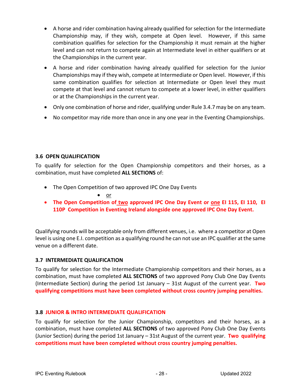- A horse and rider combination having already qualified for selection for the Intermediate Championship may, if they wish, compete at Open level. However, if this same combination qualifies for selection for the Championship it must remain at the higher level and can not return to compete again at Intermediate level in either qualifiers or at the Championships in the current year.
- A horse and rider combination having already qualified for selection for the Junior Championships may if they wish, compete at Intermediate or Open level. However, if this same combination qualifies for selection at Intermediate or Open level they must compete at that level and cannot return to compete at a lower level, in either qualifiers or at the Championships in the current year.
- Only one combination of horse and rider, qualifying under Rule 3.4.7 may be on any team.
- No competitor may ride more than once in any one year in the Eventing Championships.

#### <span id="page-30-0"></span>**3.6 OPEN QUALIFICATION**

To qualify for selection for the Open Championship competitors and their horses, as a combination, must have completed **ALL SECTIONS** of:

• The Open Competition of two approved IPC One Day Events

• or

• **The Open Competition of two approved IPC One Day Event or one EI 115, EI 110, EI 110P Competition in Eventing Ireland alongside one approved IPC One Day Event.**

Qualifying rounds will be acceptable only from different venues, i.e. where a competitor at Open level is using one E.I. competition as a qualifying round he can not use an IPC qualifier at the same venue on a different date.

#### <span id="page-30-1"></span>**3.7 INTERMEDIATE QUALIFICATION**

To qualify for selection for the Intermediate Championship competitors and their horses, as a combination, must have completed **ALL SECTIONS** of two approved Pony Club One Day Events (Intermediate Section) during the period 1st January – 31st August of the current year. **Two qualifying competitions must have been completed without cross country jumping penalties.**

#### <span id="page-30-2"></span>**3.8 JUNIOR & INTRO INTERMEDIATE QUALIFICATION**

To qualify for selection for the Junior Championship, competitors and their horses, as a combination, must have completed **ALL SECTIONS** of two approved Pony Club One Day Events (Junior Section) during the period 1st January – 31st August of the current year. **Two qualifying competitions must have been completed without cross country jumping penalties.**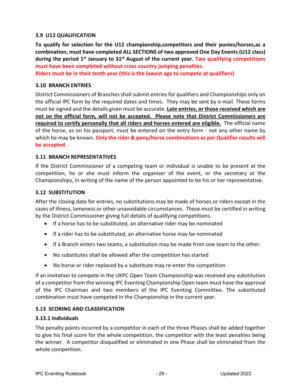#### <span id="page-31-0"></span>**3.9 U12 QUALIFICATION**

**To qualify for selection for the U12 championship,competitors and their ponies/horses,as a combination, must have completed ALL SECTIONS of two approved One Day Enents (U12 class) during the period 1st January to 31st August of the current year. Two qualifying competitions must have been completed without cross country jumping penalties.**

**Riders must be in their tenth year (this is the lowest age to compete at qualifiers)**

#### <span id="page-31-1"></span>**3.10 BRANCH ENTRIES**

District Commissioners of Branches shall submit entries for qualifiers and Championships only on the official IPC form by the required dates and times. They may be sent by e-mail. These forms must be signed and the details given must be accurate. **Late entries, or those received which are not on the official form, will not be accepted. Please note that District Commissioners are required to certify personally that all riders and horses entered are eligible.** The official name of the horse, as on his passport, must be entered on the entry form - not any other name by which he may be known. **Only the rider & pony/horse combinations as per Qualifier results will be accepted.**

#### <span id="page-31-2"></span>**3.11 BRANCH REPRESENTATIVES**

If the District Commissioner of a competing team or individual is unable to be present at the competition, he or she must inform the organiser of the event, or the secretary at the Championships, in writing of the name of the person appointed to be his or her representative.

#### <span id="page-31-3"></span>**3.12 SUBSTITUTION**

After the closing date for entries, no substitutions may be made of horses or riders except in the cases of illness, lameness or other unavoidable circumstances. These must be certified in writing by the District Commissioner giving full details of qualifying competitions.

- If a horse has to be substituted, an alternative rider may be nominated
- If a rider has to be substituted, an alternative horse may be nominated
- If a Branch enters two teams, a substitution may be made from one team to the other.
- No substitutes shall be allowed after the competition has started
- No horse or rider replaced by a substitute may re-enter the competition

If an invitation to compete in the UKPC Open Team Championship was received any substitution of a competitor from the winning IPC Eventing Championship Open team must have the approval of the IPC Chairman and two members of the IPC Eventing Committee*.* The substituted combination must have competed in the Championship in the current year.

#### <span id="page-31-4"></span>**3.13 SCORING AND CLASSIFICATION**

#### <span id="page-31-5"></span>**3.13.1 Individuals**

The penalty points incurred by a competitor in each of the three Phases shall be added together to give his final score for the whole competition, the competitor with the least penalties being the winner. A competitor disqualified or eliminated in one Phase shall be eliminated from the whole competition.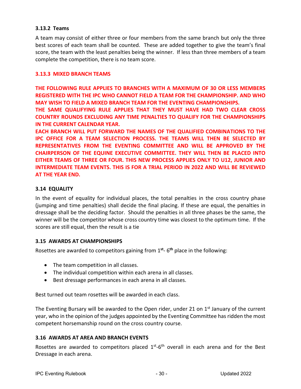#### <span id="page-32-0"></span>**3.13.2 Teams**

A team may consist of either three or four members from the same branch but only the three best scores of each team shall be counted. These are added together to give the team's final score, the team with the least penalties being the winner. If less than three members of a team complete the competition, there is no team score.

#### **3.13.3 MIXED BRANCH TEAMS**

**THE FOLLOWING RULE APPLIES TO BRANCHES WITH A MAXIMUM OF 30 OR LESS MEMBERS REGISTERED WITH THE IPC WHO CANNOT FIELD A TEAM FOR THE CHAMPIONSHIP. AND WHO MAY WISH TO FIELD A MIXED BRANCH TEAM FOR THE EVENTING CHAMPIONSHIPS.** 

**THE SAME QUALIFYING RULE APPLIES THAT THEY MUST HAVE HAD TWO CLEAR CROSS COUNTRY ROUNDS EXCLUDING ANY TIME PENALTIES TO QUALIFY FOR THE CHAMPIONSHIPS IN THE CURRENT CALENDAR YEAR.** 

**EACH BRANCH WILL PUT FORWARD THE NAMES OF THE QUALIFIED COMBINATIONS TO THE IPC OFFICE FOR A TEAM SELECTION PROCESS. THE TEAMS WILL THEN BE SELECTED BY REPRESENTATIVES FROM THE EVENTING COMMITTEE AND WILL BE APPROVED BY THE CHAIRPERSON OF THE EQUINE EXECUTIVE COMMITTEE. THEY WILL THEN BE PLACED INTO EITHER TEAMS OF THREE OR FOUR. THIS NEW PROCESS APPLIES ONLY TO U12, JUNIOR AND INTERMEDIATE TEAM EVENTS. THIS IS FOR A TRIAL PERIOD IN 2022 AND WILL BE REVIEWED AT THE YEAR END.** 

#### <span id="page-32-1"></span>**3.14 EQUALITY**

In the event of equality for individual places, the total penalties in the cross country phase (jumping and time penalties) shall decide the final placing. If these are equal, the penalties in dressage shall be the deciding factor. Should the penalties in all three phases be the same, the winner will be the competitor whose cross country time was closest to the optimum time. If the scores are still equal, then the result is a tie

#### <span id="page-32-2"></span>**3.15 AWARDS AT CHAMPIONSHIPS**

Rosettes are awarded to competitors gaining from 1**st**- 6**th** place in the following:

- The team competition in all classes.
- The individual competition within each arena in all classes.
- Best dressage performances in each arena in all classes.

Best turned out team rosettes will be awarded in each class.

The Eventing Bursary will be awarded to the Open rider, under 21 on  $1<sup>st</sup>$  January of the current year, who in the opinion of the judges appointed by the Eventing Committee has ridden the most competent horsemanship round on the cross country course.

#### <span id="page-32-3"></span>**3.16 AWARDS AT AREA AND BRANCH EVENTS**

Rosettes are awarded to competitors placed  $1<sup>st</sup>-6<sup>th</sup>$  overall in each arena and for the Best Dressage in each arena.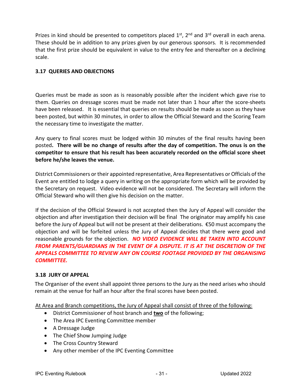Prizes in kind should be presented to competitors placed  $1<sup>st</sup>$ ,  $2<sup>nd</sup>$  and  $3<sup>rd</sup>$  overall in each arena. These should be in addition to any prizes given by our generous sponsors. It is recommended that the first prize should be equivalent in value to the entry fee and thereafter on a declining scale.

# <span id="page-33-0"></span>**3.17 QUERIES AND OBJECTIONS**

Queries must be made as soon as is reasonably possible after the incident which gave rise to them. Queries on dressage scores must be made not later than 1 hour after the score-sheets have been released. It is essential that queries on results should be made as soon as they have been posted, but within 30 minutes, in order to allow the Official Steward and the Scoring Team the necessary time to investigate the matter.

Any query to final scores must be lodged within 30 minutes of the final results having been posted**. There will be no change of results after the day of competition. The onus is on the competitor to ensure that his result has been accurately recorded on the official score sheet before he/she leaves the venue.**

District Commissioners or their appointed representative, Area Representatives or Officials of the Event are entitled to lodge a query in writing on the appropriate form which will be provided by the Secretary on request. Video evidence will not be considered. The Secretary will inform the Official Steward who will then give his decision on the matter.

If the decision of the Official Steward is not accepted then the Jury of Appeal will consider the objection and after investigation their decision will be final The originator may amplify his case before the Jury of Appeal but will not be present at their deliberations. €50 must accompany the objection and will be forfeited unless the Jury of Appeal decides that there were good and reasonable grounds for the objection. *NO VIDEO EVIDENCE WILL BE TAKEN INTO ACCOUNT FROM PARENTS/GUARDIANS IN THE EVENT OF A DISPUTE. IT IS AT THE DISCRETION OF THE APPEALS COMMITTEE TO REVIEW ANY ON COURSE FOOTAGE PROVIDED BY THE ORGANISING COMMITTEE.*

#### <span id="page-33-1"></span>**3.18 JURY OF APPEAL**

The Organiser of the event shall appoint three persons to the Jury as the need arises who should remain at the venue for half an hour after the final scores have been posted.

At Area and Branch competitions, the Jury of Appeal shall consist of three of the following:

- District Commissioner of host branch and **two** of the following;
- The Area IPC Eventing Committee member
- A Dressage Judge
- The Chief Show Jumping Judge
- The Cross Country Steward
- Any other member of the IPC Eventing Committee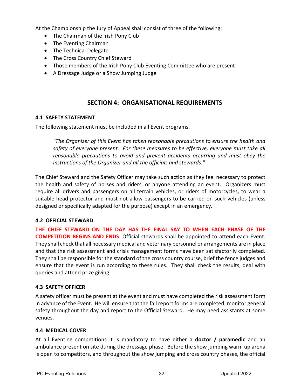At the Championship the Jury of Appeal shall consist of three of the following:

- The Chairman of the Irish Pony Club
- The Eventing Chairman
- The Technical Delegate
- The Cross Country Chief Steward
- Those members of the Irish Pony Club Eventing Committee who are present
- A Dressage Judge or a Show Jumping Judge

# **SECTION 4: ORGANISATIONAL REQUIREMENTS**

#### <span id="page-34-1"></span><span id="page-34-0"></span>**4.1 SAFETY STATEMENT**

The following statement must be included in all Event programs.

*"The Organizer of this Event has taken reasonable precautions to ensure the health and safety of everyone present. For these measures to be effective, everyone must take all reasonable precautions to avoid and prevent accidents occurring and must obey the instructions of the Organizer and all the officials and stewards."*

The Chief Steward and the Safety Officer may take such action as they feel necessary to protect the health and safety of horses and riders, or anyone attending an event. Organizers must require all drivers and passengers on all terrain vehicles, or riders of motorcycles, to wear a suitable head protector and must not allow passengers to be carried on such vehicles (unless designed or specifically adapted for the purpose) except in an emergency.

#### <span id="page-34-2"></span>**4.2 OFFICIAL STEWARD**

**THE CHIEF STEWARD ON THE DAY HAS THE FINAL SAY TO WHEN EACH PHASE OF THE COMPETITION BEGINS AND ENDS**. Official stewards shall be appointed to attend each Event. They shall check that all necessary medical and veterinary personnel or arrangements are in place and that the risk assessment and crisis management forms have been satisfactorily completed. They shall be responsible for the standard of the cross country course, brief the fence judges and ensure that the event is run according to these rules. They shall check the results, deal with queries and attend prize giving.

#### <span id="page-34-3"></span>**4.3 SAFETY OFFICER**

A safety officer must be present at the event and must have completed the risk assessment form in advance of the Event. He will ensure that the fall report forms are completed, monitor general safety throughout the day and report to the Official Steward. He may need assistants at some venues.

#### <span id="page-34-4"></span>**4.4 MEDICAL COVER**

At all Eventing competitions it is mandatory to have either a **doctor / paramedic** and an ambulance present on site during the dressage phase. Before the show jumping warm up arena is open to competitors, and throughout the show jumping and cross country phases, the official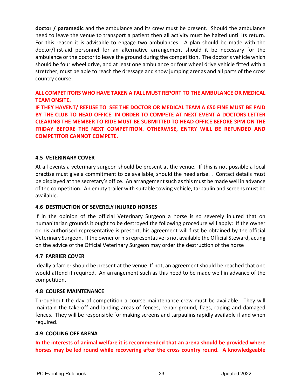**doctor / paramedic** and the ambulance and its crew must be present. Should the ambulance need to leave the venue to transport a patient then all activity must be halted until its return. For this reason it is advisable to engage two ambulances. A plan should be made with the doctor/first-aid personnel for an alternative arrangement should it be necessary for the ambulance or the doctor to leave the ground during the competition. The doctor's vehicle which should be four wheel drive, and at least one ambulance or four wheel drive vehicle fitted with a stretcher, must be able to reach the dressage and show jumping arenas and all parts of the cross country course.

**ALL COMPETITORS WHO HAVE TAKEN A FALL MUST REPORT TO THE AMBULANCE OR MEDICAL TEAM ONSITE.** 

**IF THEY HAVENT/ REFUSE TO SEE THE DOCTOR OR MEDICAL TEAM A €50 FINE MUST BE PAID BY THE CLUB TO HEAD OFFICE. IN ORDER TO COMPETE AT NEXT EVENT A DOCTORS LETTER CLEARING THE MEMBER TO RIDE MUST BE SUBMITTED TO HEAD OFFICE BEFORE 3PM ON THE FRIDAY BEFORE THE NEXT COMPETITION. OTHERWISE, ENTRY WILL BE REFUNDED AND COMPETITOR CANNOT COMPETE.**

#### <span id="page-35-0"></span>**4.5 VETERINARY COVER**

At all events a veterinary surgeon should be present at the venue. If this is not possible a local practise must give a commitment to be available, should the need arise. . Contact details must be displayed at the secretary's office. An arrangement such as this must be made well in advance of the competition. An empty trailer with suitable towing vehicle, tarpaulin and screens must be available.

#### <span id="page-35-1"></span>**4.6 DESTRUCTION OF SEVERELY INJURED HORSES**

If in the opinion of the official Veterinary Surgeon a horse is so severely injured that on humanitarian grounds it ought to be destroyed the following procedure will apply: If the owner or his authorised representative is present, his agreement will first be obtained by the official Veterinary Surgeon. If the owner or his representative is not available the Official Steward, acting on the advice of the Official Veterinary Surgeon may order the destruction of the horse

#### <span id="page-35-2"></span>**4.7 FARRIER COVER**

Ideally a farrier should be present at the venue. If not, an agreement should be reached that one would attend if required. An arrangement such as this need to be made well in advance of the competition.

#### <span id="page-35-3"></span>**4.8 COURSE MAINTENANCE**

Throughout the day of competition a course maintenance crew must be available. They will maintain the take-off and landing areas of fences, repair ground, flags, roping and damaged fences. They will be responsible for making screens and tarpaulins rapidly available if and when required.

#### <span id="page-35-4"></span>**4.9 COOLING OFF ARENA**

**In the interests of animal welfare it is recommended that an arena should be provided where horses may be led round while recovering after the cross country round. A knowledgeable**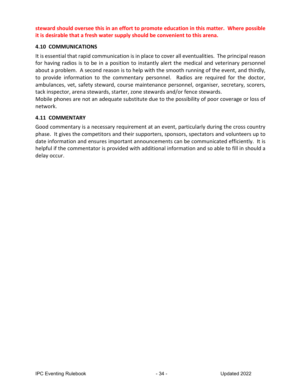**steward should oversee this in an effort to promote education in this matter. Where possible it is desirable that a fresh water supply should be convenient to this arena.**

#### <span id="page-36-0"></span>**4.10 COMMUNICATIONS**

It is essential that rapid communication is in place to cover all eventualities. The principal reason for having radios is to be in a position to instantly alert the medical and veterinary personnel about a problem. A second reason is to help with the smooth running of the event, and thirdly, to provide information to the commentary personnel. Radios are required for the doctor, ambulances, vet, safety steward, course maintenance personnel, organiser, secretary, scorers, tack inspector, arena stewards, starter, zone stewards and/or fence stewards.

Mobile phones are not an adequate substitute due to the possibility of poor coverage or loss of network.

#### <span id="page-36-1"></span>**4.11 COMMENTARY**

Good commentary is a necessary requirement at an event, particularly during the cross country phase. It gives the competitors and their supporters, sponsors, spectators and volunteers up to date information and ensures important announcements can be communicated efficiently. It is helpful if the commentator is provided with additional information and so able to fill in should a delay occur.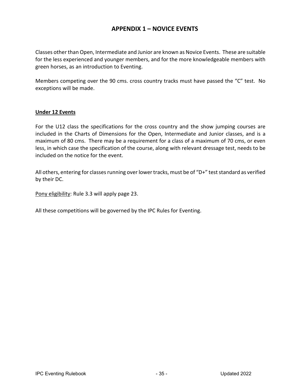# **APPENDIX 1 – NOVICE EVENTS**

<span id="page-37-0"></span>Classes other than Open, Intermediate and Junior are known as Novice Events. These are suitable for the less experienced and younger members, and for the more knowledgeable members with green horses, as an introduction to Eventing.

Members competing over the 90 cms. cross country tracks must have passed the "C" test. No exceptions will be made.

#### **Under 12 Events**

For the U12 class the specifications for the cross country and the show jumping courses are included in the Charts of Dimensions for the Open, Intermediate and Junior classes, and is a maximum of 80 cms. There may be a requirement for a class of a maximum of 70 cms, or even less, in which case the specification of the course, along with relevant dressage test, needs to be included on the notice for the event.

All others, entering for classes running over lower tracks, must be of "D+" test standard as verified by their DC.

Pony eligibility: Rule 3.3 will apply page 23.

All these competitions will be governed by the IPC Rules for Eventing.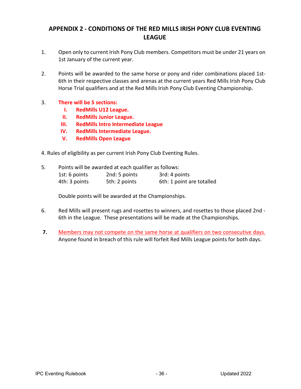# <span id="page-38-0"></span>**APPENDIX 2 - CONDITIONS OF THE RED MILLS IRISH PONY CLUB EVENTING LEAGUE**

- 1. Open only to current Irish Pony Club members. Competitors must be under 21 years on 1st January of the current year.
- 2. Points will be awarded to the same horse or pony and rider combinations placed 1st-6th in their respective classes and arenas at the current years Red Mills Irish Pony Club Horse Trial qualifiers and at the Red Mills Irish Pony Club Eventing Championship.
- 3. **There will be 5 sections:**
	- **I. RedMills U12 League.**
	- **II. RedMills Junior League.**
	- **III. RedMills Intro Intermediate League**
	- **IV. RedMills Intermediate League.**
	- **V. RedMills Open League**
- 4. Rules of eligibility as per current Irish Pony Club Eventing Rules.
- 5. Points will be awarded at each qualifier as follows:  $1$ ct: 6 points  $2nd: E$  points  $2rd: 4$  points

| <b>EST:</b> 6 DOINTS | zna: 5 points | 3rd: 4 points             |
|----------------------|---------------|---------------------------|
| 4th: 3 points        | 5th: 2 points | 6th: 1 point are totalled |

Double points will be awarded at the Championships.

- 6. Red Mills will present rugs and rosettes to winners, and rosettes to those placed 2nd 6th in the League. These presentations will be made at the Championships.
- **7.** Members may not compete on the same horse at qualifiers on two consecutive days. Anyone found in breach of this rule will forfeit Red Mills League points for both days.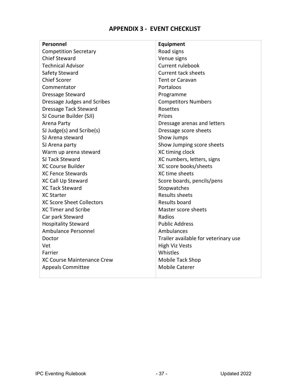# **APPENDIX 3 - EVENT CHECKLIST**

<span id="page-39-0"></span>

| <b>Personnel</b>                  | Equipment                            |
|-----------------------------------|--------------------------------------|
| <b>Competition Secretary</b>      | Road signs                           |
| <b>Chief Steward</b>              | Venue signs                          |
| <b>Technical Advisor</b>          | <b>Current rulebook</b>              |
| Safety Steward                    | <b>Current tack sheets</b>           |
| <b>Chief Scorer</b>               | <b>Tent or Caravan</b>               |
| Commentator                       | Portaloos                            |
| Dressage Steward                  | Programme                            |
| Dressage Judges and Scribes       | <b>Competitors Numbers</b>           |
| Dressage Tack Steward             | Rosettes                             |
| SJ Course Builder (SJI)           | Prizes                               |
| Arena Party                       | Dressage arenas and letters          |
| SJ Judge(s) and Scribe(s)         | Dressage score sheets                |
| SJ Arena steward                  | Show Jumps                           |
| SJ Arena party                    | Show Jumping score sheets            |
| Warm up arena steward             | XC timing clock                      |
| SJ Tack Steward                   | XC numbers, letters, signs           |
| <b>XC Course Builder</b>          | XC score books/sheets                |
| <b>XC Fence Stewards</b>          | XC time sheets                       |
| <b>XC Call Up Steward</b>         | Score boards, pencils/pens           |
| <b>XC Tack Steward</b>            | Stopwatches                          |
| <b>XC Starter</b>                 | <b>Results sheets</b>                |
| <b>XC Score Sheet Collectors</b>  | Results board                        |
| <b>XC Timer and Scribe</b>        | Master score sheets                  |
| Car park Steward                  | Radios                               |
| <b>Hospitality Steward</b>        | <b>Public Address</b>                |
| Ambulance Personnel               | Ambulances                           |
| Doctor                            | Trailer available for veterinary use |
| Vet                               | <b>High Viz Vests</b>                |
| Farrier                           | Whistles                             |
| <b>XC Course Maintenance Crew</b> | Mobile Tack Shop                     |
| <b>Appeals Committee</b>          | <b>Mobile Caterer</b>                |
|                                   |                                      |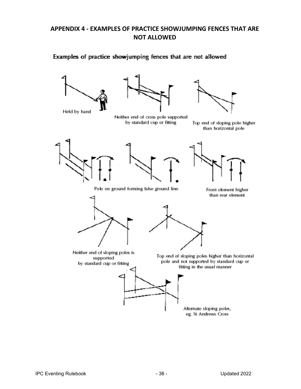# <span id="page-40-0"></span>**APPENDIX 4 - EXAMPLES OF PRACTICE SHOWJUMPING FENCES THAT ARE NOT ALLOWED**

# Examples of practice showjumping fences that are not allowed



Held by hand





Neither end of cross pole supported by standard cup or fitting

Top end of sloping pole higher than horizontal pole







Pole on ground forming false ground line

Front element higher than rear element





Neither end of sloping poles is supported by standard cup or fitting

Top end of sloping poles higher than horizontal pole and not supported by standard cup or fitting in the usual manner



Alternate sloping poles, eg. St Andrews Cross